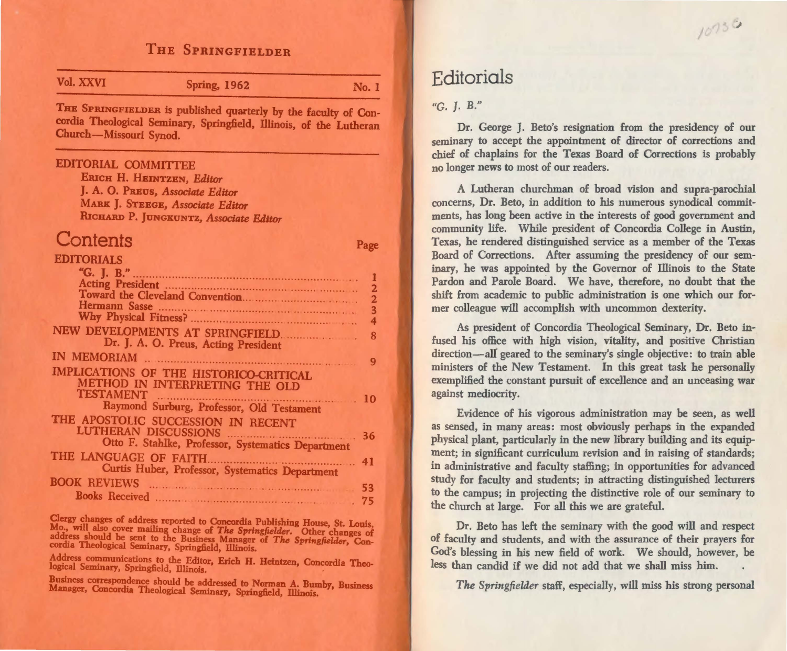## THE SPRINGFIELDER

| Vol. XXVI                  | <b>Spring, 1962</b>                                                                                                                    | No. 1         |
|----------------------------|----------------------------------------------------------------------------------------------------------------------------------------|---------------|
| Church-Missouri Synod.     | THE SPRINGFIELDER is published quarterly by the faculty of Con-<br>cordia Theological Seminary, Springfield, Illinois, of the Lutheran |               |
| <b>EDITORIAL COMMITTEE</b> |                                                                                                                                        |               |
|                            | ERICH H. HEINTZEN, Editor                                                                                                              |               |
|                            | J. A. O. PREUS, Associate Editor                                                                                                       |               |
|                            | MARK J. STEEGE, Associate Editor                                                                                                       |               |
|                            | RICHARD P. JUNGKUNTZ, Associate Editor                                                                                                 |               |
| Contents                   |                                                                                                                                        | Page          |
| <b>EDITORIALS</b>          |                                                                                                                                        |               |
| "G. J. B.".                |                                                                                                                                        |               |
|                            |                                                                                                                                        | 1             |
|                            |                                                                                                                                        |               |
|                            |                                                                                                                                        | $\frac{2}{3}$ |
|                            |                                                                                                                                        |               |
|                            | NEW DEVELOPMENTS AT SPRINGFIELD.<br>Dr. J. A. O. Preus, Acting President                                                               | 8             |
|                            |                                                                                                                                        |               |
|                            |                                                                                                                                        | 9             |
|                            | IMPLICATIONS OF THE HISTORICO-CRITICAL<br>METHOD IN INTERPRETING THE OLD                                                               |               |
| <b>TESTAMENT</b>           |                                                                                                                                        | 10            |
|                            | TAMENT<br>Raymond Surburg, Professor, Old Testament                                                                                    |               |
|                            | THE APOSTOLIC SUCCESSION IN RECENT                                                                                                     |               |
|                            | <b>LUTHERAN DISCUSSIONS</b>                                                                                                            | 36            |
|                            | Otto F. Stahlke, Professor, Systematics Department                                                                                     |               |
| THE LANGUAGE OF FAITH.     |                                                                                                                                        | 41            |
|                            | Curtis Huber, Professor, Systematics Department                                                                                        |               |
| <b>BOOK REVIEWS</b>        |                                                                                                                                        | 53            |
|                            |                                                                                                                                        | 75            |

Clergy changes of address reported to Concordia Publishing House, St. Louis,<br>Mo., will also cover mailing change of *The Springfielder*. Other changes of address should be sent to the Business Manager of The Springfielder, Con-<br>cordia Theological Seminary, Springfield, Illinois.

Address communications to the Editor, Erich H. Heintzen, Concordia Theo-<br>logical Seminary, Springfield, Illinois.

Business correspondence should be addressed to Norman A. Bumby, Business<br>Manager, Concordia Theological Seminary, Springfield, Illinois.